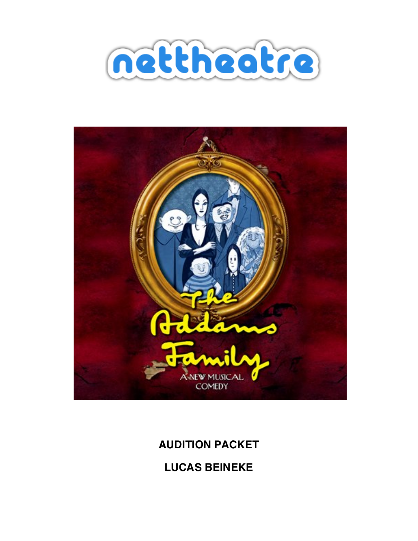



# **AUDITION PACKET**

**LUCAS BEINEKE**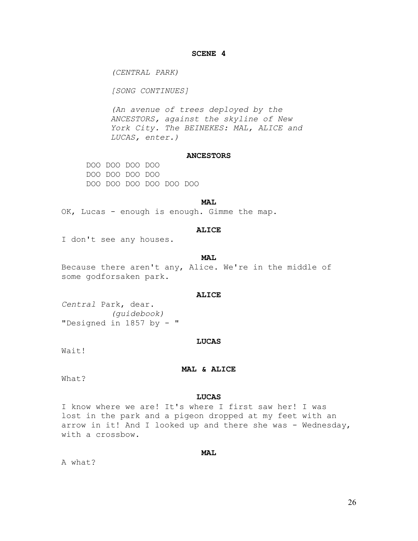# **SCENE 4**

*(CENTRAL PARK)* 

*[SONG CONTINUES]* 

*(An avenue of trees deployed by the ANCESTORS, against the skyline of New York City. The BEINEKES: MAL, ALICE and LUCAS, enter.)* 

# **ANCESTORS**

DOO DOO DOO DOO DOO DOO DOO DOO DOO DOO DOO DOO DOO DOO

#### **MAL**

OK, Lucas - enough is enough. Gimme the map.

## **ALICE**

I don't see any houses.

#### **MAL**

Because there aren't any, Alice. We're in the middle of some godforsaken park.

#### **ALICE**

*Central* Park, dear. *(guidebook)*  "Designed in 1857 by - "

#### **LUCAS**

Wait!

## **MAL & ALICE**

What?

## **LUCAS**

I know where we are! It's where I first saw her! I was lost in the park and a pigeon dropped at my feet with an arrow in it! And I looked up and there she was - Wednesday, with a crossbow.

# **MAL**

A what?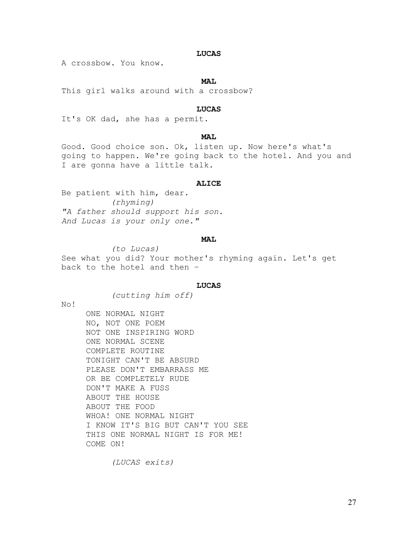# **LUCAS**

A crossbow. You know.

#### **MAL**

This girl walks around with a crossbow?

# **LUCAS**

It's OK dad, she has a permit.

# MAT.

Good. Good choice son. Ok, listen up. Now here's what's going to happen. We're going back to the hotel. And you and I are gonna have a little talk.

#### **ALICE**

Be patient with him, dear. *(rhyming) "A father should support his son. And Lucas is your only one."* 

# **MAL**

*(to Lucas)*  See what you did? Your mother's rhyming again. Let's get back to the hotel and then –

## **LUCAS**

*(cutting him off)* 

No!

ONE NORMAL NIGHT NO, NOT ONE POEM NOT ONE INSPIRING WORD ONE NORMAL SCENE COMPLETE ROUTINE TONIGHT CAN'T BE ABSURD PLEASE DON'T EMBARRASS ME OR BE COMPLETELY RUDE DON'T MAKE A FUSS ABOUT THE HOUSE ABOUT THE FOOD WHOA! ONE NORMAL NIGHT I KNOW IT'S BIG BUT CAN'T YOU SEE THIS ONE NORMAL NIGHT IS FOR ME! COME ON!

*(LUCAS exits)*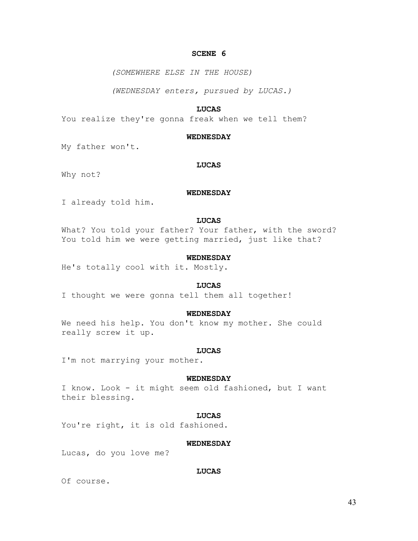# **SCENE 6**

*(SOMEWHERE ELSE IN THE HOUSE)* 

*(WEDNESDAY enters, pursued by LUCAS.)* 

# **LUCAS**

You realize they're gonna freak when we tell them?

#### **WEDNESDAY**

My father won't.

# **LUCAS**

Why not?

## **WEDNESDAY**

I already told him.

## **LUCAS**

What? You told your father? Your father, with the sword? You told him we were getting married, just like that?

## **WEDNESDAY**

He's totally cool with it. Mostly.

# **LUCAS**

I thought we were gonna tell them all together!

#### **WEDNESDAY**

We need his help. You don't know my mother. She could really screw it up.

#### **LUCAS**

I'm not marrying your mother.

#### **WEDNESDAY**

I know. Look - it might seem old fashioned, but I want their blessing.

#### **LUCAS**

You're right, it is old fashioned.

## **WEDNESDAY**

Lucas, do you love me?

# **LUCAS**

Of course.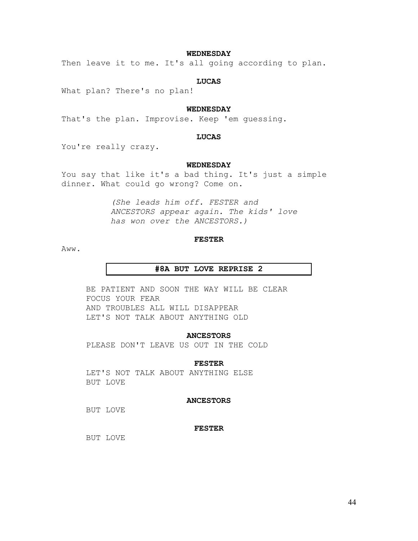# **WEDNESDAY**

Then leave it to me. It's all going according to plan.

#### **LUCAS**

What plan? There's no plan!

# **WEDNESDAY**

That's the plan. Improvise. Keep 'em guessing.

#### **LUCAS**

You're really crazy.

# **WEDNESDAY**

You say that like it's a bad thing. It's just a simple dinner. What could go wrong? Come on.

> *(She leads him off. FESTER and ANCESTORS appear again. The kids' love has won over the ANCESTORS.)*

#### **FESTER**

Aww.

#### **#8A BUT LOVE REPRISE 2**

BE PATIENT AND SOON THE WAY WILL BE CLEAR FOCUS YOUR FEAR AND TROUBLES ALL WILL DISAPPEAR LET'S NOT TALK ABOUT ANYTHING OLD

## **ANCESTORS**

PLEASE DON'T LEAVE US OUT IN THE COLD

#### **FESTER**

LET'S NOT TALK ABOUT ANYTHING ELSE BUT LOVE

# **ANCESTORS**

BUT LOVE

# **FESTER**

BUT LOVE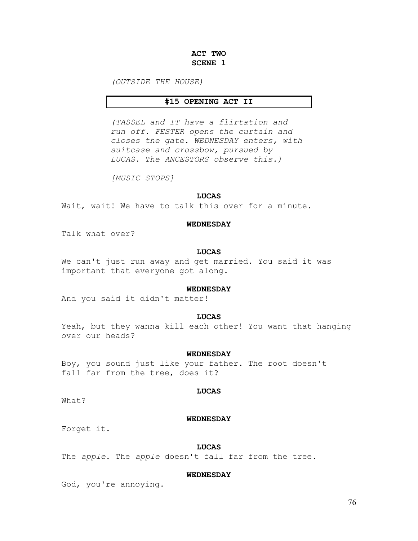# **ACT TWO SCENE 1**

*(OUTSIDE THE HOUSE)* 

# **#15 OPENING ACT II**

*(TASSEL and IT have a flirtation and run off. FESTER opens the curtain and closes the gate. WEDNESDAY enters, with suitcase and crossbow, pursued by LUCAS. The ANCESTORS observe this.)* 

*[MUSIC STOPS]* 

#### **LUCAS**

Wait, wait! We have to talk this over for a minute.

#### **WEDNESDAY**

Talk what over?

# **LUCAS**

We can't just run away and get married. You said it was important that everyone got along.

## **WEDNESDAY**

And you said it didn't matter!

# **LUCAS**

Yeah, but they wanna kill each other! You want that hanging over our heads?

# **WEDNESDAY**

Boy, you sound just like your father. The root doesn't fall far from the tree, does it?

## **LUCAS**

What?

#### **WEDNESDAY**

Forget it.

#### **LUCAS**

The *apple*. The *apple* doesn't fall far from the tree.

#### **WEDNESDAY**

God, you're annoying.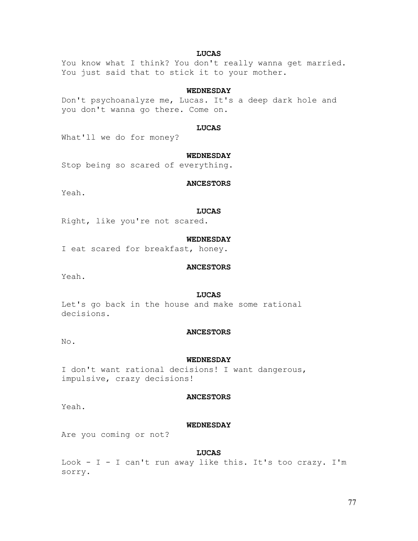# **LUCAS**

You know what I think? You don't really wanna get married. You just said that to stick it to your mother.

# **WEDNESDAY**

Don't psychoanalyze me, Lucas. It's a deep dark hole and you don't wanna go there. Come on.

# **LUCAS**

What'll we do for money?

# **WEDNESDAY**

Stop being so scared of everything.

## **ANCESTORS**

Yeah.

#### **LUCAS**

Right, like you're not scared.

# **WEDNESDAY**

I eat scared for breakfast, honey.

# **ANCESTORS**

Yeah.

# **LUCAS**

Let's go back in the house and make some rational decisions.

# **ANCESTORS**

No.

#### **WEDNESDAY**

I don't want rational decisions! I want dangerous, impulsive, crazy decisions!

# **ANCESTORS**

Yeah.

## **WEDNESDAY**

Are you coming or not?

# **LUCAS**

Look -  $I$  - I can't run away like this. It's too crazy. I'm sorry.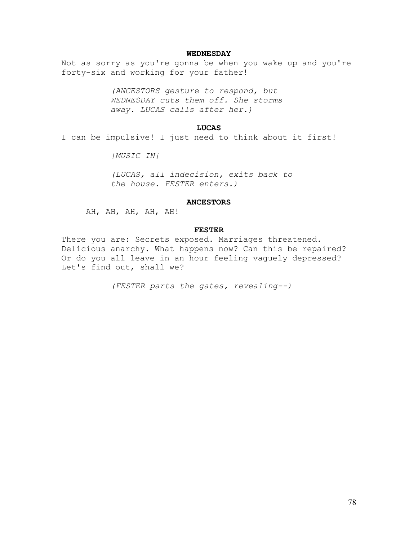# **WEDNESDAY**

Not as sorry as you're gonna be when you wake up and you're forty-six and working for your father!

> *(ANCESTORS gesture to respond, but WEDNESDAY cuts them off. She storms away. LUCAS calls after her.)*

# **LUCAS**

I can be impulsive! I just need to think about it first!

*[MUSIC IN]* 

*(LUCAS, all indecision, exits back to the house. FESTER enters.)* 

#### **ANCESTORS**

AH, AH, AH, AH, AH!

# **FESTER**

There you are: Secrets exposed. Marriages threatened. Delicious anarchy. What happens now? Can this be repaired? Or do you all leave in an hour feeling vaguely depressed? Let's find out, shall we?

*(FESTER parts the gates, revealing--)*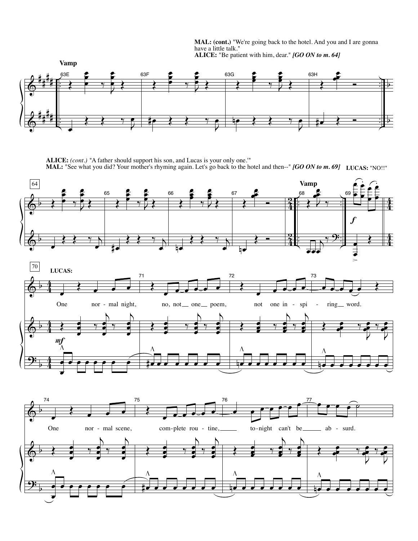**MAL: (cont.)** "We're going back to the hotel. And you and I are gonna have a little talk." **ALICE:** "Be patient with him, dear." *[GO ON to m. 64]*



**ALICE:** *(cont.) "*A father should support his son, and Lucas is your only one.'" **MAL:** "See what you did? Your mother's rhyming again. Let's go back to the hotel and then--" *[GO ON to m. 69]* **LUCAS:** "NO!!"

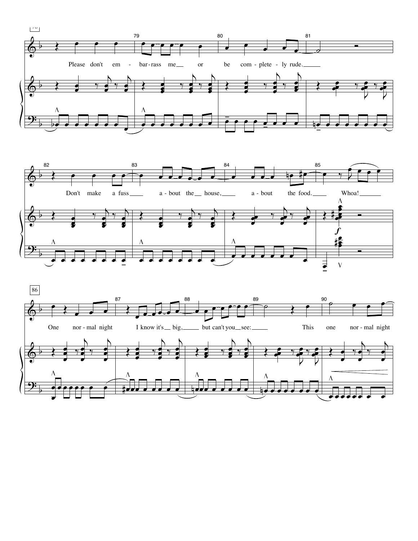



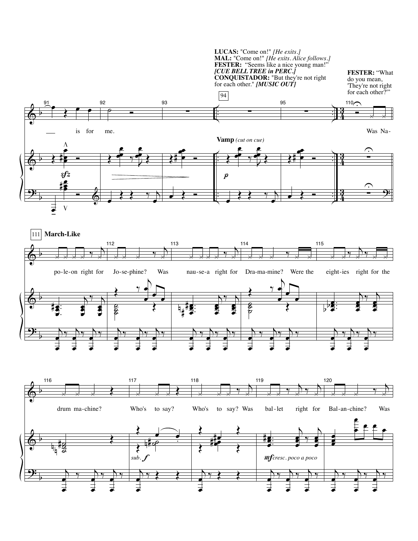**LUCAS:** "Come on!" *[He exits.]* **MAL:** "Come on!" *[He exits. Alice follows.]* **FESTER:** "Seems like a nice young man!" *[CUE BELL TREE in PERC.]* **CONQUISTADOR:** "But they're not right for each other." *[MUSIC OUT]*

**FESTER:** "What do you mean, 'They're not right for each other?"

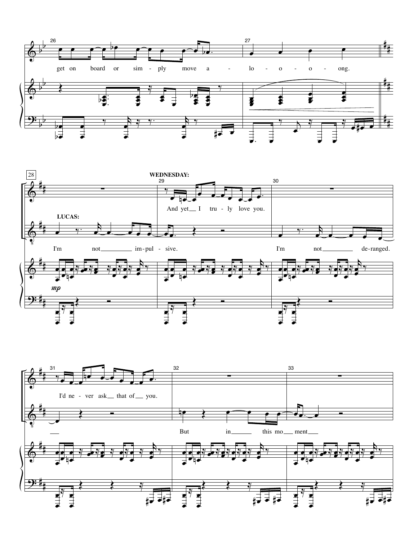



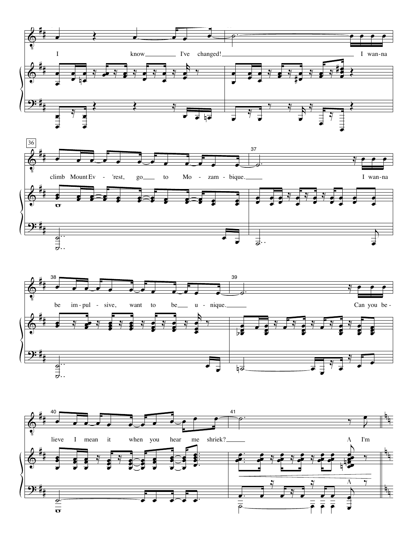